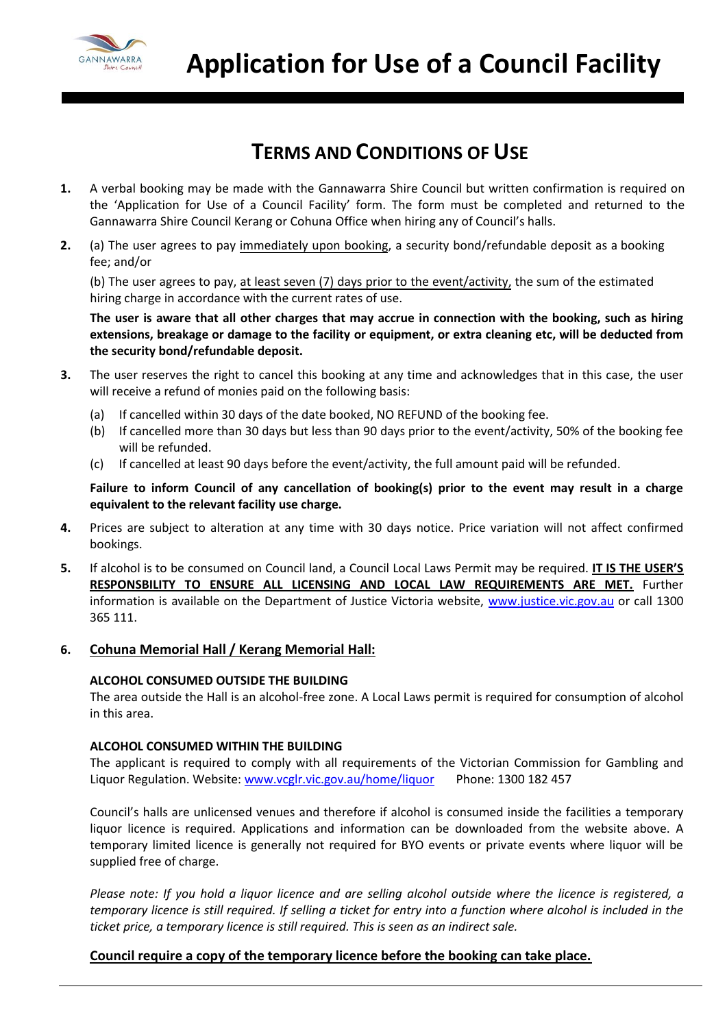

### **TERMS AND CONDITIONS OF USE**

- **1.** A verbal booking may be made with the Gannawarra Shire Council but written confirmation is required on the 'Application for Use of a Council Facility' form. The form must be completed and returned to the Gannawarra Shire Council Kerang or Cohuna Office when hiring any of Council's halls.
- **2.** (a) The user agrees to pay immediately upon booking, a security bond/refundable deposit as a booking fee; and/or

(b) The user agrees to pay, at least seven (7) days prior to the event/activity, the sum of the estimated hiring charge in accordance with the current rates of use.

**The user is aware that all other charges that may accrue in connection with the booking, such as hiring extensions, breakage or damage to the facility or equipment, or extra cleaning etc, will be deducted from the security bond/refundable deposit.**

- **3.** The user reserves the right to cancel this booking at any time and acknowledges that in this case, the user will receive a refund of monies paid on the following basis:
	- (a) If cancelled within 30 days of the date booked, NO REFUND of the booking fee.
	- (b) If cancelled more than 30 days but less than 90 days prior to the event/activity, 50% of the booking fee will be refunded.
	- (c) If cancelled at least 90 days before the event/activity, the full amount paid will be refunded.

**Failure to inform Council of any cancellation of booking(s) prior to the event may result in a charge equivalent to the relevant facility use charge.**

- **4.** Prices are subject to alteration at any time with 30 days notice. Price variation will not affect confirmed bookings.
- **5.** If alcohol is to be consumed on Council land, a Council Local Laws Permit may be required. **IT IS THE USER'S RESPONSBILITY TO ENSURE ALL LICENSING AND LOCAL LAW REQUIREMENTS ARE MET.** Further information is available on the Department of Justice Victoria website, [www.justice.vic.gov.au](http://www.justice.vic.gov.au/) or call 1300 365 111.
- **6. Cohuna Memorial Hall / Kerang Memorial Hall:**

#### **ALCOHOL CONSUMED OUTSIDE THE BUILDING**

The area outside the Hall is an alcohol-free zone. A Local Laws permit is required for consumption of alcohol in this area.

#### **ALCOHOL CONSUMED WITHIN THE BUILDING**

The applicant is required to comply with all requirements of the Victorian Commission for Gambling and Liquor Regulation. Website: [www.vcglr.vic.gov.au/home/liquor](http://www.vcglr.vic.gov.au/home/liquor) Phone: 1300 182 457

Council's halls are unlicensed venues and therefore if alcohol is consumed inside the facilities a temporary liquor licence is required. Applications and information can be downloaded from the website above. A temporary limited licence is generally not required for BYO events or private events where liquor will be supplied free of charge.

*Please note: If you hold a liquor licence and are selling alcohol outside where the licence is registered, a temporary licence is still required. If selling a ticket for entry into a function where alcohol is included in the ticket price, a temporary licence is still required. This is seen as an indirect sale.*

### **Council require a copy of the temporary licence before the booking can take place.**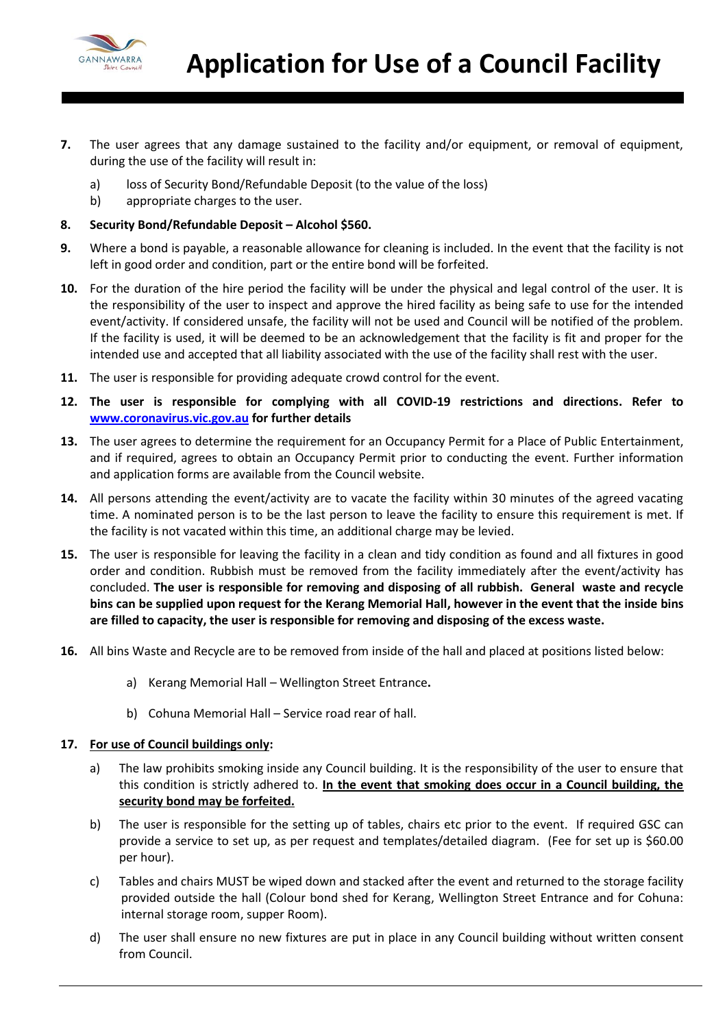

- **7.** The user agrees that any damage sustained to the facility and/or equipment, or removal of equipment, during the use of the facility will result in:
	- a) loss of Security Bond/Refundable Deposit (to the value of the loss)
	- b) appropriate charges to the user.
- **8. Security Bond/Refundable Deposit – Alcohol \$560.**
- **9.** Where a bond is payable, a reasonable allowance for cleaning is included. In the event that the facility is not left in good order and condition, part or the entire bond will be forfeited.
- **10.** For the duration of the hire period the facility will be under the physical and legal control of the user. It is the responsibility of the user to inspect and approve the hired facility as being safe to use for the intended event/activity. If considered unsafe, the facility will not be used and Council will be notified of the problem. If the facility is used, it will be deemed to be an acknowledgement that the facility is fit and proper for the intended use and accepted that all liability associated with the use of the facility shall rest with the user.
- **11.** The user is responsible for providing adequate crowd control for the event.
- **12. The user is responsible for complying with all COVID-19 restrictions and directions. Refer to [www.coronavirus.vic.gov.au](http://www.coronavirus.vic.gov.au/) for further details**
- **13.** The user agrees to determine the requirement for an Occupancy Permit for a Place of Public Entertainment, and if required, agrees to obtain an Occupancy Permit prior to conducting the event. Further information and application forms are available from the Council website.
- **14.** All persons attending the event/activity are to vacate the facility within 30 minutes of the agreed vacating time. A nominated person is to be the last person to leave the facility to ensure this requirement is met. If the facility is not vacated within this time, an additional charge may be levied.
- **15.** The user is responsible for leaving the facility in a clean and tidy condition as found and all fixtures in good order and condition. Rubbish must be removed from the facility immediately after the event/activity has concluded. **The user is responsible for removing and disposing of all rubbish. General waste and recycle bins can be supplied upon request for the Kerang Memorial Hall, however in the event that the inside bins are filled to capacity, the user is responsible for removing and disposing of the excess waste.**
- **16.** All bins Waste and Recycle are to be removed from inside of the hall and placed at positions listed below:
	- a) Kerang Memorial Hall Wellington Street Entrance**.**
	- b) Cohuna Memorial Hall Service road rear of hall.

#### **17. For use of Council buildings only:**

- a) The law prohibits smoking inside any Council building. It is the responsibility of the user to ensure that this condition is strictly adhered to. **In the event that smoking does occur in a Council building, the security bond may be forfeited.**
- b) The user is responsible for the setting up of tables, chairs etc prior to the event. If required GSC can provide a service to set up, as per request and templates/detailed diagram. (Fee for set up is \$60.00 per hour).
- c) Tables and chairs MUST be wiped down and stacked after the event and returned to the storage facility provided outside the hall (Colour bond shed for Kerang, Wellington Street Entrance and for Cohuna: internal storage room, supper Room).
- d) The user shall ensure no new fixtures are put in place in any Council building without written consent from Council.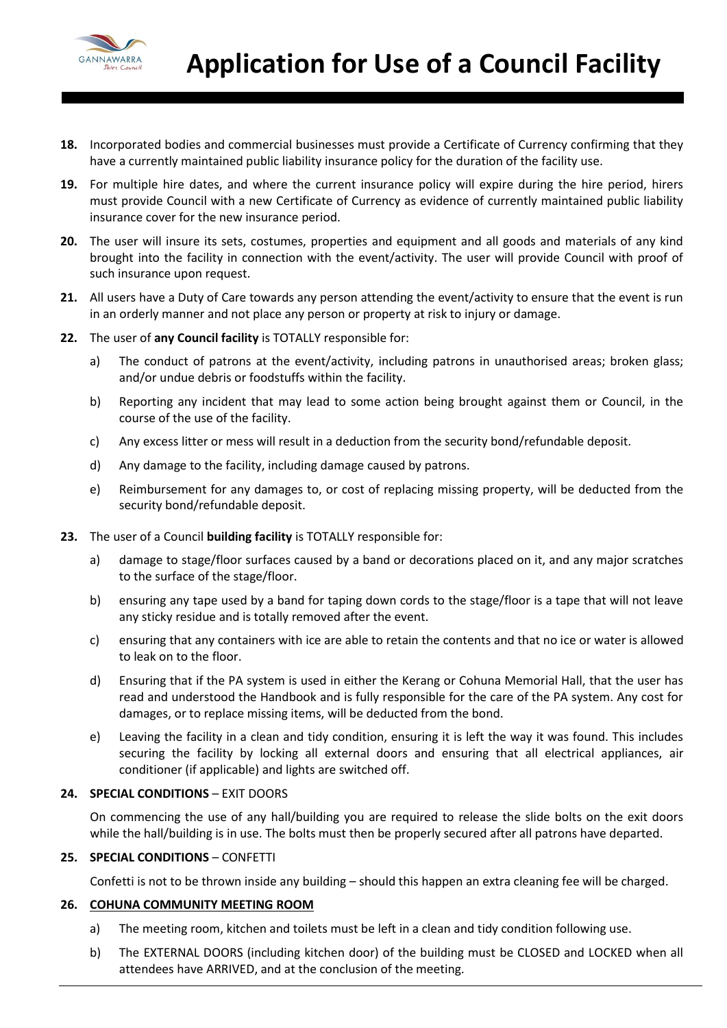

- **18.** Incorporated bodies and commercial businesses must provide a Certificate of Currency confirming that they have a currently maintained public liability insurance policy for the duration of the facility use.
- **19.** For multiple hire dates, and where the current insurance policy will expire during the hire period, hirers must provide Council with a new Certificate of Currency as evidence of currently maintained public liability insurance cover for the new insurance period.
- **20.** The user will insure its sets, costumes, properties and equipment and all goods and materials of any kind brought into the facility in connection with the event/activity. The user will provide Council with proof of such insurance upon request.
- **21.** All users have a Duty of Care towards any person attending the event/activity to ensure that the event is run in an orderly manner and not place any person or property at risk to injury or damage.
- **22.** The user of **any Council facility** is TOTALLY responsible for:
	- a) The conduct of patrons at the event/activity, including patrons in unauthorised areas; broken glass; and/or undue debris or foodstuffs within the facility.
	- b) Reporting any incident that may lead to some action being brought against them or Council, in the course of the use of the facility.
	- c) Any excess litter or mess will result in a deduction from the security bond/refundable deposit.
	- d) Any damage to the facility, including damage caused by patrons.
	- e) Reimbursement for any damages to, or cost of replacing missing property, will be deducted from the security bond/refundable deposit.
- **23.** The user of a Council **building facility** is TOTALLY responsible for:
	- a) damage to stage/floor surfaces caused by a band or decorations placed on it, and any major scratches to the surface of the stage/floor.
	- b) ensuring any tape used by a band for taping down cords to the stage/floor is a tape that will not leave any sticky residue and is totally removed after the event.
	- c) ensuring that any containers with ice are able to retain the contents and that no ice or water is allowed to leak on to the floor.
	- d) Ensuring that if the PA system is used in either the Kerang or Cohuna Memorial Hall, that the user has read and understood the Handbook and is fully responsible for the care of the PA system. Any cost for damages, or to replace missing items, will be deducted from the bond.
	- e) Leaving the facility in a clean and tidy condition, ensuring it is left the way it was found. This includes securing the facility by locking all external doors and ensuring that all electrical appliances, air conditioner (if applicable) and lights are switched off.

#### **24. SPECIAL CONDITIONS** – EXIT DOORS

On commencing the use of any hall/building you are required to release the slide bolts on the exit doors while the hall/building is in use. The bolts must then be properly secured after all patrons have departed.

#### **25. SPECIAL CONDITIONS** – CONFETTI

Confetti is not to be thrown inside any building – should this happen an extra cleaning fee will be charged.

#### **26. COHUNA COMMUNITY MEETING ROOM**

- a) The meeting room, kitchen and toilets must be left in a clean and tidy condition following use.
- b) The EXTERNAL DOORS (including kitchen door) of the building must be CLOSED and LOCKED when all attendees have ARRIVED, and at the conclusion of the meeting.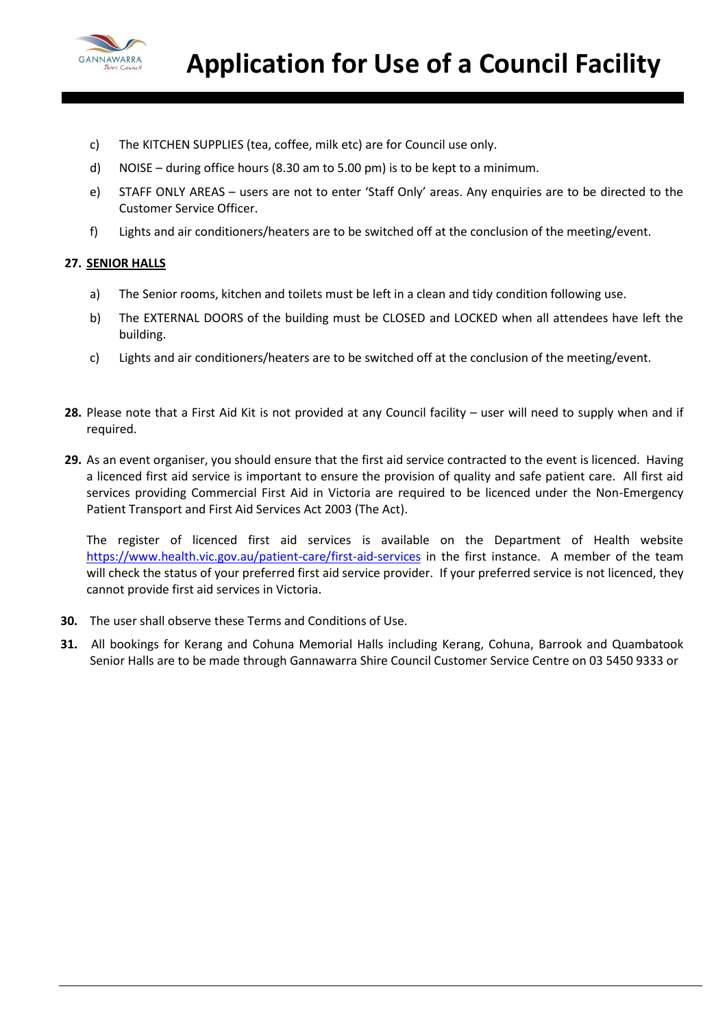

- c) The KITCHEN SUPPLIES (tea, coffee, milk etc) are for Council use only.
- d) NOISE during office hours (8.30 am to 5.00 pm) is to be kept to a minimum.
- e) STAFF ONLY AREAS users are not to enter 'Staff Only' areas. Any enquiries are to be directed to the Customer Service Officer.
- f) Lights and air conditioners/heaters are to be switched off at the conclusion of the meeting/event.

#### **27. SENIOR HALLS**

- a) The Senior rooms, kitchen and toilets must be left in a clean and tidy condition following use.
- b) The EXTERNAL DOORS of the building must be CLOSED and LOCKED when all attendees have left the building.
- c) Lights and air conditioners/heaters are to be switched off at the conclusion of the meeting/event.
- **28.** Please note that a First Aid Kit is not provided at any Council facility user will need to supply when and if required.
- **29.** As an event organiser, you should ensure that the first aid service contracted to the event is licenced. Having a licenced first aid service is important to ensure the provision of quality and safe patient care. All first aid services providing Commercial First Aid in Victoria are required to be licenced under the Non-Emergency Patient Transport and First Aid Services Act 2003 (The Act).

The register of licenced first aid services is available on the Department of Health website <https://www.health.vic.gov.au/patient-care/first-aid-services> in the first instance. A member of the team will check the status of your preferred first aid service provider. If your preferred service is not licenced, they cannot provide first aid services in Victoria.

- **30.** The user shall observe these Terms and Conditions of Use.
- **31.** All bookings for Kerang and Cohuna Memorial Halls including Kerang, Cohuna, Barrook and Quambatook Senior Halls are to be made through Gannawarra Shire Council Customer Service Centre on 03 5450 9333 or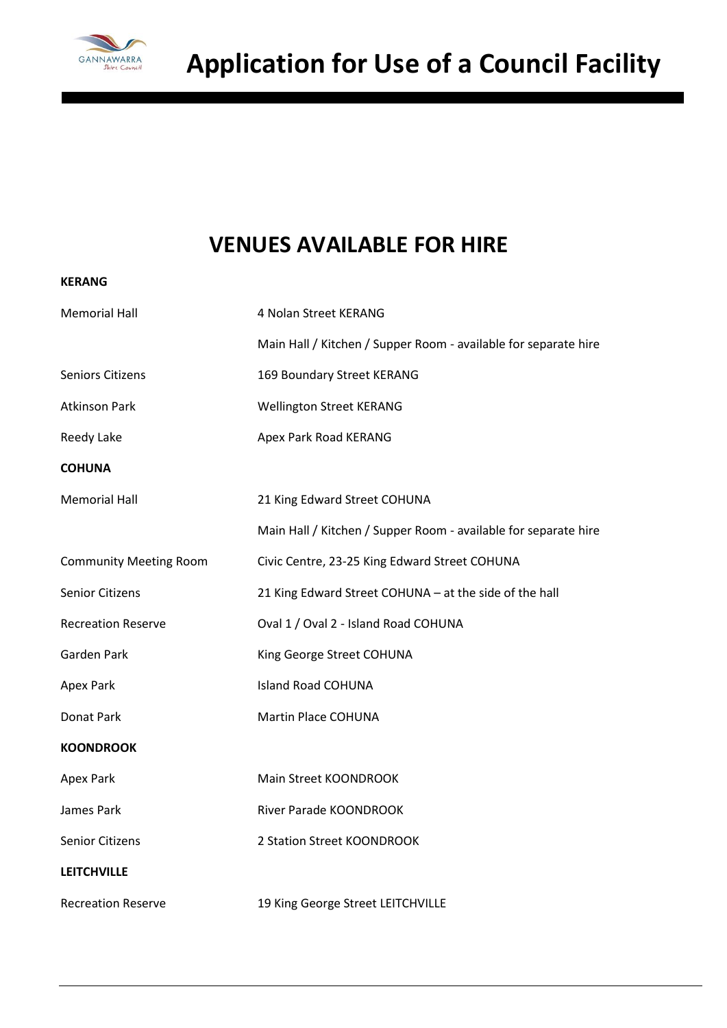

# **VENUES AVAILABLE FOR HIRE**

| <b>KERANG</b>                 |                                                                 |  |
|-------------------------------|-----------------------------------------------------------------|--|
| <b>Memorial Hall</b>          | 4 Nolan Street KERANG                                           |  |
|                               | Main Hall / Kitchen / Supper Room - available for separate hire |  |
| <b>Seniors Citizens</b>       | 169 Boundary Street KERANG                                      |  |
| <b>Atkinson Park</b>          | <b>Wellington Street KERANG</b>                                 |  |
| Reedy Lake                    | Apex Park Road KERANG                                           |  |
| <b>COHUNA</b>                 |                                                                 |  |
| <b>Memorial Hall</b>          | 21 King Edward Street COHUNA                                    |  |
|                               | Main Hall / Kitchen / Supper Room - available for separate hire |  |
| <b>Community Meeting Room</b> | Civic Centre, 23-25 King Edward Street COHUNA                   |  |
| <b>Senior Citizens</b>        | 21 King Edward Street COHUNA - at the side of the hall          |  |
| <b>Recreation Reserve</b>     | Oval 1 / Oval 2 - Island Road COHUNA                            |  |
| Garden Park                   | King George Street COHUNA                                       |  |
| Apex Park                     | <b>Island Road COHUNA</b>                                       |  |
| Donat Park                    | Martin Place COHUNA                                             |  |
| <b>KOONDROOK</b>              |                                                                 |  |
| <b>Apex Park</b>              | Main Street KOONDROOK                                           |  |
| James Park                    | River Parade KOONDROOK                                          |  |
| <b>Senior Citizens</b>        | 2 Station Street KOONDROOK                                      |  |
| <b>LEITCHVILLE</b>            |                                                                 |  |
| <b>Recreation Reserve</b>     | 19 King George Street LEITCHVILLE                               |  |
|                               |                                                                 |  |